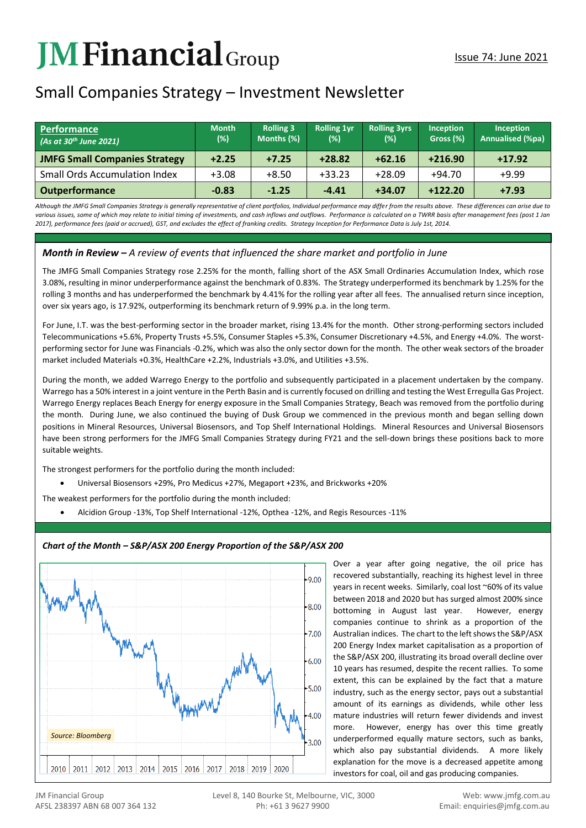# **JM Financial** Group

# Small Companies Strategy – Investment Newsletter

| <b>Performance</b><br>(As at 30 <sup>th</sup> June 2021) | <b>Month</b><br>(%) | <b>Rolling 3</b><br>Months (%) | <b>Rolling 1vr</b><br>(%) | <b>Rolling 3yrs</b><br>$(\%)$ | Inception<br>Gross (%) | <b>Inception</b><br><b>Annualised (%pa)</b> |
|----------------------------------------------------------|---------------------|--------------------------------|---------------------------|-------------------------------|------------------------|---------------------------------------------|
| <b>JMFG Small Companies Strategy</b>                     | $+2.25$             | $+7.25$                        | $+28.82$                  | $+62.16$                      | $+216.90$              | $+17.92$                                    |
| <b>Small Ords Accumulation Index</b>                     | $+3.08$             | $+8.50$                        | $+33.23$                  | $+28.09$                      | $+94.70$               | $+9.99$                                     |
| <b>Outperformance</b>                                    | $-0.83$             | $-1.25$                        | $-4.41$                   | $+34.07$                      | $+122.20$              | $+7.93$                                     |

*Although the JMFG Small Companies Strategy is generally representative of client portfolios, Individual performance may differ from the results above. These differences can arise due to*  various issues, some of which may relate to initial timing of investments, and cash inflows and outflows. Performance is calculated on a TWRR basis after management fees (post 1 Jan *2017), performance fees (paid or accrued), GST, and excludes the effect of franking credits. Strategy Inception for Performance Data is July 1st, 2014.*

## *Month in Review – A review of events that influenced the share market and portfolio in June*

The JMFG Small Companies Strategy rose 2.25% for the month, falling short of the ASX Small Ordinaries Accumulation Index, which rose 3.08%, resulting in minor underperformance against the benchmark of 0.83%. The Strategy underperformed its benchmark by 1.25% for the rolling 3 months and has underperformed the benchmark by 4.41% for the rolling year after all fees. The annualised return since inception, over six years ago, is 17.92%, outperforming its benchmark return of 9.99% p.a. in the long term.

For June, I.T. was the best-performing sector in the broader market, rising 13.4% for the month. Other strong-performing sectors included Telecommunications +5.6%, Property Trusts +5.5%, Consumer Staples +5.3%, Consumer Discretionary +4.5%, and Energy +4.0%. The worstperforming sector for June was Financials -0.2%, which was also the only sector down for the month. The other weak sectors of the broader market included Materials +0.3%, HealthCare +2.2%, Industrials +3.0%, and Utilities +3.5%.

During the month, we added Warrego Energy to the portfolio and subsequently participated in a placement undertaken by the company. Warrego has a 50% interest in a joint venture in the Perth Basin and is currently focused on drilling and testing the West Erregulla Gas Project. Warrego Energy replaces Beach Energy for energy exposure in the Small Companies Strategy, Beach was removed from the portfolio during the month. During June, we also continued the buying of Dusk Group we commenced in the previous month and began selling down positions in Mineral Resources, Universal Biosensors, and Top Shelf International Holdings. Mineral Resources and Universal Biosensors have been strong performers for the JMFG Small Companies Strategy during FY21 and the sell-down brings these positions back to more suitable weights.

The strongest performers for the portfolio during the month included:

• Universal Biosensors +29%, Pro Medicus +27%, Megaport +23%, and Brickworks +20%

The weakest performers for the portfolio during the month included:

• Alcidion Group -13%, Top Shelf International -12%, Opthea -12%, and Regis Resources -11%



# *Chart of the Month – S&P/ASX 200 Energy Proportion of the S&P/ASX 200*

Over a year after going negative, the oil price has recovered substantially, reaching its highest level in three years in recent weeks. Similarly, coal lost ~60% of its value between 2018 and 2020 but has surged almost 200% since bottoming in August last year. However, energy companies continue to shrink as a proportion of the Australian indices. The chart to the left shows the S&P/ASX 200 Energy Index market capitalisation as a proportion of the S&P/ASX 200, illustrating its broad overall decline over 10 years has resumed, despite the recent rallies. To some extent, this can be explained by the fact that a mature industry, such as the energy sector, pays out a substantial amount of its earnings as dividends, while other less mature industries will return fewer dividends and invest more. However, energy has over this time greatly underperformed equally mature sectors, such as banks, which also pay substantial dividends. A more likely explanation for the move is a decreased appetite among investors for coal, oil and gas producing companies.